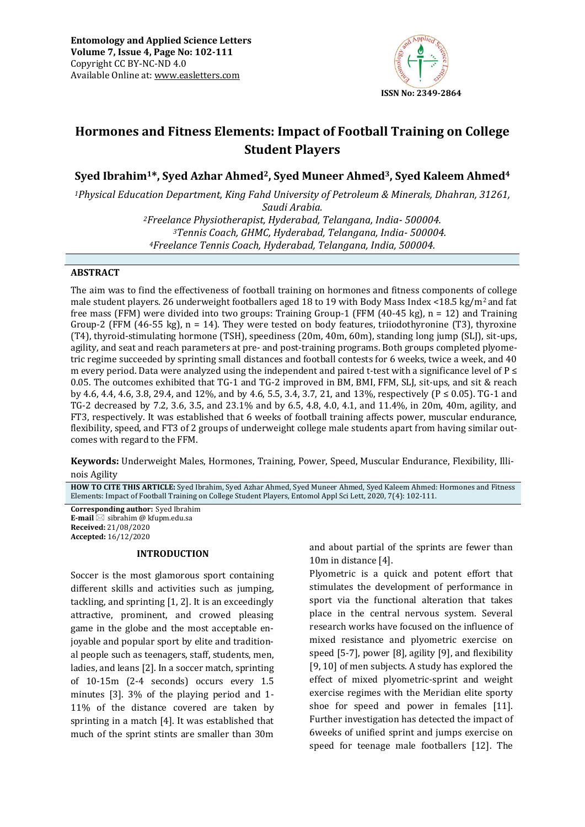

# **Hormones and Fitness Elements: Impact of Football Training on College Student Players**

**Syed Ibrahim1\*, Syed Azhar Ahmed2, Syed Muneer Ahmed3, Syed Kaleem Ahmed<sup>4</sup>**

*<sup>1</sup>Physical Education Department, King Fahd University of Petroleum & Minerals, Dhahran, 31261,* 

*Saudi Arabia. Freelance Physiotherapist, Hyderabad, Telangana, India- 500004. Tennis Coach, GHMC, Hyderabad, Telangana, India- 500004. Freelance Tennis Coach, Hyderabad, Telangana, India, 500004.* 

# **ABSTRACT**

The aim was to find the effectiveness of football training on hormones and fitness components of college male student players. 26 underweight footballers aged 18 to 19 with Body Mass Index <18.5 kg/m2 and fat free mass (FFM) were divided into two groups: Training Group-1 (FFM (40-45 kg), n = 12) and Training Group-2 (FFM  $(46-55 \text{ kg})$ , n = 14). They were tested on body features, triiodothyronine (T3), thyroxine (T4), thyroid-stimulating hormone (TSH), speediness (20m, 40m, 60m), standing long jump (SLJ), sit-ups, agility, and seat and reach parameters at pre- and post-training programs. Both groups completed plyometric regime succeeded by sprinting small distances and football contests for 6 weeks, twice a week, and 40 m every period. Data were analyzed using the independent and paired t-test with a significance level of  $P \leq$ 0.05. The outcomes exhibited that TG-1 and TG-2 improved in BM, BMI, FFM, SLJ, sit-ups, and sit & reach by 4.6, 4.4, 4.6, 3.8, 29.4, and 12%, and by 4.6, 5.5, 3.4, 3.7, 21, and 13%, respectively ( $P \le 0.05$ ), TG-1 and TG-2 decreased by 7.2, 3.6, 3.5, and 23.1% and by 6.5, 4.8, 4.0, 4.1, and 11.4%, in 20m, 40m, agility, and FT3, respectively. It was established that 6 weeks of football training affects power, muscular endurance, flexibility, speed, and FT3 of 2 groups of underweight college male students apart from having similar outcomes with regard to the FFM.

**Keywords:** Underweight Males, Hormones, Training, Power, Speed, Muscular Endurance, Flexibility, Illinois Agility

**HOW TO CITE THIS ARTICLE:** Syed Ibrahim, Syed Azhar Ahmed, Syed Muneer Ahmed, Syed Kaleem Ahmed: Hormones and Fitness Elements: Impact of Football Training on College Student Players, Entomol Appl Sci Lett, 2020, 7(4): 102-111.

**Corresponding author:** Syed Ibrahim **E-mail** ⊠ sibrahim @ kfupm.edu.sa **Received:** 21/08/2020 **Accepted:** 16/12/2020

# **INTRODUCTION**

Soccer is the most glamorous sport containing different skills and activities such as jumping, tackling, and sprinting [1, 2]. It is an exceedingly attractive, prominent, and crowed pleasing game in the globe and the most acceptable enjoyable and popular sport by elite and traditional people such as teenagers, staff, students, men, ladies, and leans [2]. In a soccer match, sprinting of 10-15m (2-4 seconds) occurs every 1.5 minutes [3]. 3% of the playing period and 1- 11% of the distance covered are taken by sprinting in a match [4]. It was established that much of the sprint stints are smaller than 30m

and about partial of the sprints are fewer than 10m in distance [4].

Plyometric is a quick and potent effort that stimulates the development of performance in sport via the functional alteration that takes place in the central nervous system. Several research works have focused on the influence of mixed resistance and plyometric exercise on speed [5-7], power [8], agility [9], and flexibility [9, 10] of men subjects. A study has explored the effect of mixed plyometric-sprint and weight exercise regimes with the Meridian elite sporty shoe for speed and power in females [11]. Further investigation has detected the impact of 6weeks of unified sprint and jumps exercise on speed for teenage male footballers [12]. The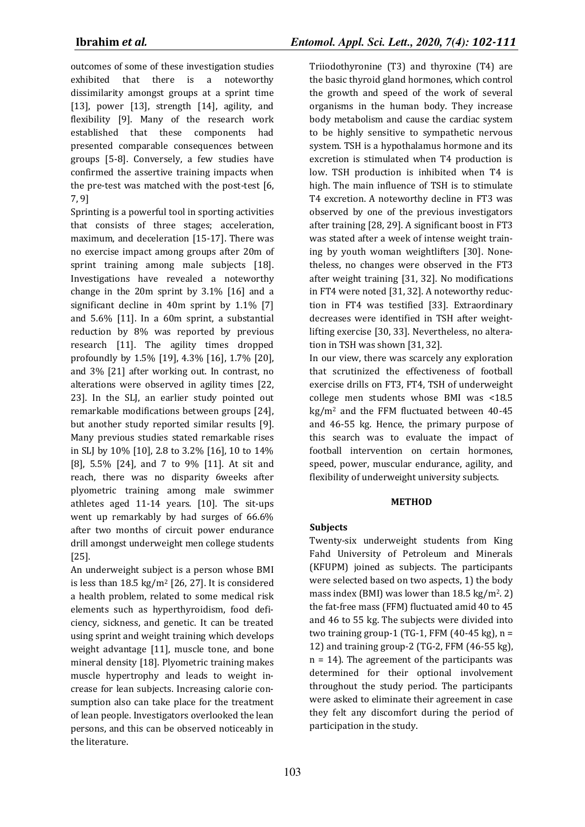outcomes of some of these investigation studies exhibited that there is a noteworthy dissimilarity amongst groups at a sprint time [13], power [13], strength [14], agility, and flexibility [9]. Many of the research work established that these components had presented comparable consequences between groups [5-8]. Conversely, a few studies have confirmed the assertive training impacts when the pre-test was matched with the post-test [6, 7, 9]

Sprinting is a powerful tool in sporting activities that consists of three stages; acceleration, maximum, and deceleration [15-17]. There was no exercise impact among groups after 20m of sprint training among male subjects [18]. Investigations have revealed a noteworthy change in the 20m sprint by 3.1% [16] and a significant decline in 40m sprint by 1.1% [7] and 5.6% [11]. In a 60m sprint, a substantial reduction by 8% was reported by previous research [11]. The agility times dropped profoundly by 1.5% [19], 4.3% [16], 1.7% [20], and 3% [21] after working out. In contrast, no alterations were observed in agility times [22, 23]. In the SLJ, an earlier study pointed out remarkable modifications between groups [24], but another study reported similar results [9]. Many previous studies stated remarkable rises in SLJ by 10% [10], 2.8 to 3.2% [16], 10 to 14% [8], 5.5% [24], and 7 to 9% [11]. At sit and reach, there was no disparity 6weeks after plyometric training among male swimmer athletes aged 11-14 years. [10]. The sit-ups went up remarkably by had surges of 66.6% after two months of circuit power endurance drill amongst underweight men college students [25].

An underweight subject is a person whose BMI is less than 18.5 kg/m<sup>2</sup> [26, 27]. It is considered a health problem, related to some medical risk elements such as hyperthyroidism, food deficiency, sickness, and genetic. It can be treated using sprint and weight training which develops weight advantage [11], muscle tone, and bone mineral density [18]. Plyometric training makes muscle hypertrophy and leads to weight increase for lean subjects. Increasing calorie consumption also can take place for the treatment of lean people. Investigators overlooked the lean persons, and this can be observed noticeably in the literature.

Triiodothyronine (T3) and thyroxine (T4) are the basic thyroid gland hormones, which control the growth and speed of the work of several organisms in the human body. They increase body metabolism and cause the cardiac system to be highly sensitive to sympathetic nervous system. TSH is a hypothalamus hormone and its excretion is stimulated when T4 production is low. TSH production is inhibited when T4 is high. The main influence of TSH is to stimulate T4 excretion. A noteworthy decline in FT3 was observed by one of the previous investigators after training [28, 29]. A significant boost in FT3 was stated after a week of intense weight training by youth woman weightlifters [30]. Nonetheless, no changes were observed in the FT3 after weight training [31, 32]. No modifications in FT4 were noted [31, 32]. A noteworthy reduction in FT4 was testified [33]. Extraordinary decreases were identified in TSH after weightlifting exercise [30, 33]. Nevertheless, no alteration in TSH was shown [31, 32].

In our view, there was scarcely any exploration that scrutinized the effectiveness of football exercise drills on FT3, FT4, TSH of underweight college men students whose BMI was <18.5  $kg/m<sup>2</sup>$  and the FFM fluctuated between 40-45 and 46-55 kg. Hence, the primary purpose of this search was to evaluate the impact of football intervention on certain hormones, speed, power, muscular endurance, agility, and flexibility of underweight university subjects.

# **METHOD**

# **Subjects**

Twenty-six underweight students from King Fahd University of Petroleum and Minerals (KFUPM) joined as subjects. The participants were selected based on two aspects, 1) the body mass index (BMI) was lower than  $18.5 \text{ kg/m}^2$ . 2) the fat-free mass (FFM) fluctuated amid 40 to 45 and 46 to 55 kg. The subjects were divided into two training group-1 (TG-1, FFM  $(40-45 \text{ kg})$ , n = 12) and training group-2 (TG-2, FFM (46-55 kg), n = 14). The agreement of the participants was determined for their optional involvement throughout the study period. The participants were asked to eliminate their agreement in case they felt any discomfort during the period of participation in the study.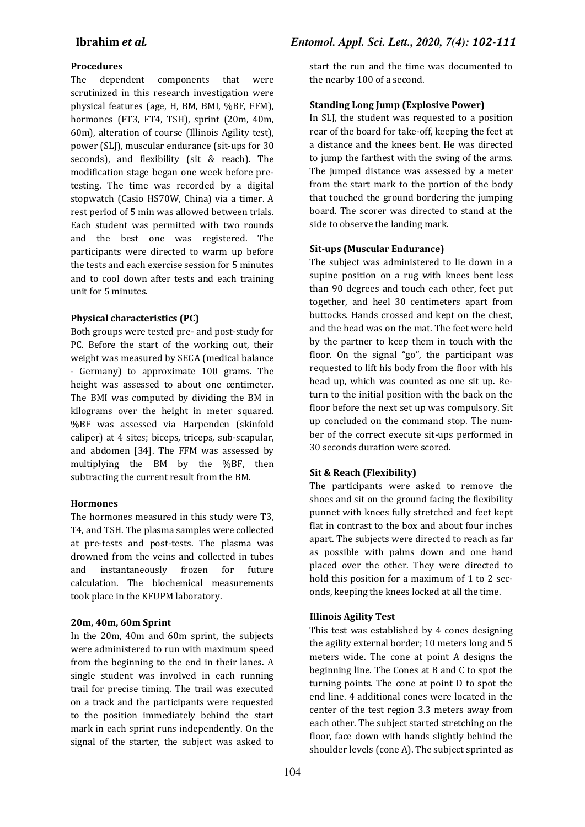# **Procedures**

The dependent components that were scrutinized in this research investigation were physical features (age, H, BM, BMI, %BF, FFM), hormones (FT3, FT4, TSH), sprint (20m, 40m, 60m), alteration of course (Illinois Agility test), power (SLJ), muscular endurance (sit-ups for 30 seconds), and flexibility (sit & reach). The modification stage began one week before pretesting. The time was recorded by a digital stopwatch (Casio HS70W, China) via a timer. A rest period of 5 min was allowed between trials. Each student was permitted with two rounds and the best one was registered. The participants were directed to warm up before the tests and each exercise session for 5 minutes and to cool down after tests and each training unit for 5 minutes.

### **Physical characteristics (PC)**

Both groups were tested pre- and post-study for PC. Before the start of the working out, their weight was measured by SECA (medical balance - Germany) to approximate 100 grams. The height was assessed to about one centimeter. The BMI was computed by dividing the BM in kilograms over the height in meter squared. %BF was assessed via Harpenden (skinfold caliper) at 4 sites; biceps, triceps, sub-scapular, and abdomen [34]. The FFM was assessed by multiplying the BM by the %BF, then subtracting the current result from the BM.

#### **Hormones**

The hormones measured in this study were T3, T4, and TSH. The plasma samples were collected at pre-tests and post-tests. The plasma was drowned from the veins and collected in tubes and instantaneously frozen for future calculation. The biochemical measurements took place in the KFUPM laboratory.

#### **20m, 40m, 60m Sprint**

In the 20m, 40m and 60m sprint, the subjects were administered to run with maximum speed from the beginning to the end in their lanes. A single student was involved in each running trail for precise timing. The trail was executed on a track and the participants were requested to the position immediately behind the start mark in each sprint runs independently. On the signal of the starter, the subject was asked to

start the run and the time was documented to the nearby 100 of a second.

# **Standing Long Jump (Explosive Power)**

In SLJ, the student was requested to a position rear of the board for take-off, keeping the feet at a distance and the knees bent. He was directed to jump the farthest with the swing of the arms. The jumped distance was assessed by a meter from the start mark to the portion of the body that touched the ground bordering the jumping board. The scorer was directed to stand at the side to observe the landing mark.

### **Sit-ups (Muscular Endurance)**

The subject was administered to lie down in a supine position on a rug with knees bent less than 90 degrees and touch each other, feet put together, and heel 30 centimeters apart from buttocks. Hands crossed and kept on the chest, and the head was on the mat. The feet were held by the partner to keep them in touch with the floor. On the signal "go", the participant was requested to lift his body from the floor with his head up, which was counted as one sit up. Return to the initial position with the back on the floor before the next set up was compulsory. Sit up concluded on the command stop. The number of the correct execute sit-ups performed in 30 seconds duration were scored.

#### **Sit & Reach (Flexibility)**

The participants were asked to remove the shoes and sit on the ground facing the flexibility punnet with knees fully stretched and feet kept flat in contrast to the box and about four inches apart. The subjects were directed to reach as far as possible with palms down and one hand placed over the other. They were directed to hold this position for a maximum of 1 to 2 seconds, keeping the knees locked at all the time.

# **Illinois Agility Test**

This test was established by 4 cones designing the agility external border; 10 meters long and 5 meters wide. The cone at point A designs the beginning line. The Cones at B and C to spot the turning points. The cone at point D to spot the end line. 4 additional cones were located in the center of the test region 3.3 meters away from each other. The subject started stretching on the floor, face down with hands slightly behind the shoulder levels (cone A). The subject sprinted as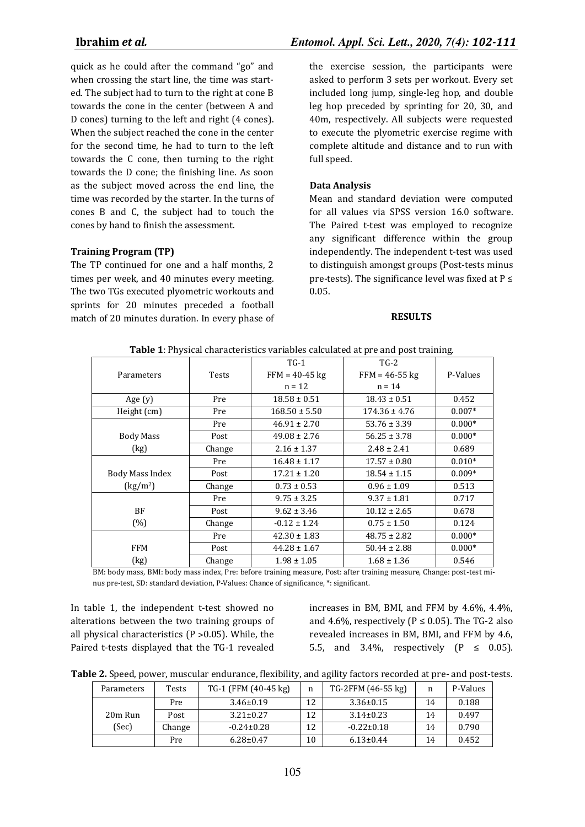quick as he could after the command "go" and when crossing the start line, the time was started. The subject had to turn to the right at cone B towards the cone in the center (between A and D cones) turning to the left and right (4 cones). When the subject reached the cone in the center for the second time, he had to turn to the left towards the C cone, then turning to the right towards the D cone; the finishing line. As soon as the subject moved across the end line, the time was recorded by the starter. In the turns of cones B and C, the subject had to touch the cones by hand to finish the assessment.

# **Training Program (TP)**

The TP continued for one and a half months, 2 times per week, and 40 minutes every meeting. The two TGs executed plyometric workouts and sprints for 20 minutes preceded a football match of 20 minutes duration. In every phase of the exercise session, the participants were asked to perform 3 sets per workout. Every set included long jump, single-leg hop, and double leg hop preceded by sprinting for 20, 30, and 40m, respectively. All subjects were requested to execute the plyometric exercise regime with complete altitude and distance and to run with full speed.

# **Data Analysis**

Mean and standard deviation were computed for all values via SPSS version 16.0 software. The Paired t-test was employed to recognize any significant difference within the group independently. The independent t-test was used to distinguish amongst groups (Post-tests minus pre-tests). The significance level was fixed at  $P \leq$ 0.05.

#### **RESULTS**

| Table 1: Physical Characteristics variables calculated at pre and post training. |        |                   |                   |          |  |  |  |
|----------------------------------------------------------------------------------|--------|-------------------|-------------------|----------|--|--|--|
|                                                                                  |        | $TG-1$            | $TG-2$            |          |  |  |  |
| Parameters                                                                       | Tests  | $FFM = 40-45$ kg  | $FFM = 46-55$ kg  | P-Values |  |  |  |
|                                                                                  |        | $n = 12$          | $n = 14$          |          |  |  |  |
| Age $(y)$                                                                        | Pre    | $18.58 \pm 0.51$  | $18.43 \pm 0.51$  | 0.452    |  |  |  |
| Height (cm)                                                                      | Pre    | $168.50 \pm 5.50$ | $174.36 \pm 4.76$ | $0.007*$ |  |  |  |
|                                                                                  | Pre    | $46.91 \pm 2.70$  | $53.76 \pm 3.39$  | $0.000*$ |  |  |  |
| <b>Body Mass</b>                                                                 | Post   | $49.08 \pm 2.76$  | $56.25 \pm 3.78$  | $0.000*$ |  |  |  |
| (kg)                                                                             | Change | $2.16 \pm 1.37$   | $2.48 \pm 2.41$   | 0.689    |  |  |  |
|                                                                                  | Pre    | $16.48 \pm 1.17$  | $17.57 \pm 0.80$  | $0.010*$ |  |  |  |
| Body Mass Index                                                                  | Post   | $17.21 \pm 1.20$  | $18.54 \pm 1.15$  | $0.009*$ |  |  |  |
| (kg/m <sup>2</sup> )                                                             | Change | $0.73 \pm 0.53$   | $0.96 \pm 1.09$   | 0.513    |  |  |  |
|                                                                                  | Pre    | $9.75 \pm 3.25$   | $9.37 \pm 1.81$   | 0.717    |  |  |  |
| BF                                                                               | Post   | $9.62 \pm 3.46$   | $10.12 \pm 2.65$  | 0.678    |  |  |  |
| (%)                                                                              | Change | $-0.12 \pm 1.24$  | $0.75 \pm 1.50$   | 0.124    |  |  |  |
|                                                                                  | Pre    | $42.30 \pm 1.83$  | $48.75 \pm 2.82$  | $0.000*$ |  |  |  |
| FFM                                                                              | Post   | $44.28 \pm 1.67$  | $50.44 \pm 2.88$  | $0.000*$ |  |  |  |
| (kg)                                                                             | Change | $1.98 \pm 1.05$   | $1.68 \pm 1.36$   | 0.546    |  |  |  |

**Table 1**: Physical characteristics variables calculated at pre and post training.

BM: body mass, BMI: body mass index, Pre: before training measure, Post: after training measure, Change: post-test minus pre-test, SD: standard deviation, P-Values: Chance of significance, \*: significant.

In table 1, the independent t-test showed no alterations between the two training groups of all physical characteristics  $(P > 0.05)$ . While, the Paired t-tests displayed that the TG-1 revealed

increases in BM, BMI, and FFM by 4.6%, 4.4%, and 4.6%, respectively ( $P \le 0.05$ ). The TG-2 also revealed increases in BM, BMI, and FFM by 4.6, 5.5, and 3.4%, respectively  $(P \le 0.05)$ .

**Table 2.** Speed, power, muscular endurance, flexibility, and agility factors recorded at pre- and post-tests.

| Parameters | Tests  | TG-1 (FFM (40-45 kg) | n  | TG-2FFM (46-55 kg) |    | P-Values |
|------------|--------|----------------------|----|--------------------|----|----------|
|            | Pre    | $3.46 \pm 0.19$      | 1つ | $3.36 \pm 0.15$    | 14 | 0.188    |
| 20m Run    | Post   | $3.21 \pm 0.27$      | 12 | $3.14 \pm 0.23$    | 14 | 0.497    |
| (Sec)      | Change | $-0.24 \pm 0.28$     | 12 | $-0.22 \pm 0.18$   | 14 | 0.790    |
|            | Pre    | $6.28 \pm 0.47$      | 10 | $6.13 \pm 0.44$    | 14 | 0.452    |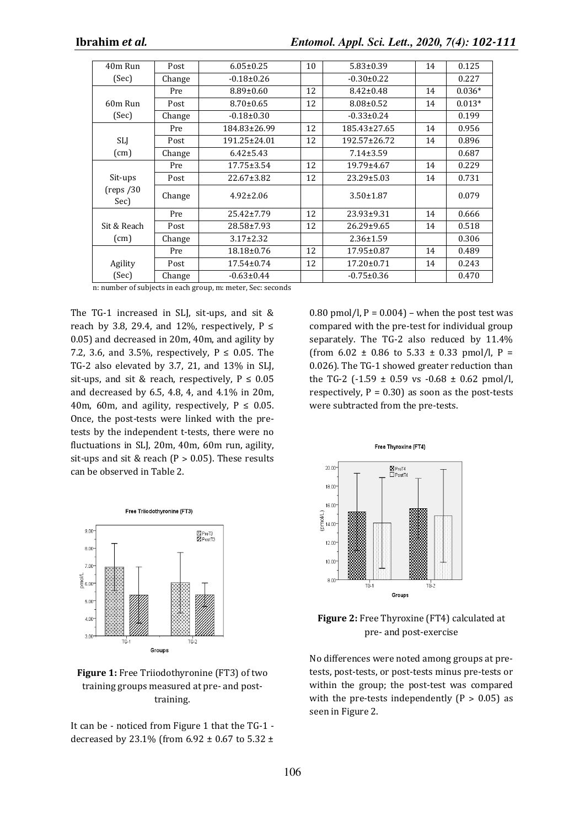| 40m Run           | Post   | $6.05 \pm 0.25$  | 10 | $5.83 \pm 0.39$  | 14 | 0.125    |
|-------------------|--------|------------------|----|------------------|----|----------|
| (Sec)             | Change | $-0.18 \pm 0.26$ |    | $-0.30 \pm 0.22$ |    | 0.227    |
|                   | Pre    | $8.89 \pm 0.60$  | 12 | $8.42 \pm 0.48$  | 14 | $0.036*$ |
| 60m Run           | Post   | $8.70 \pm 0.65$  | 12 | $8.08 \pm 0.52$  | 14 | $0.013*$ |
| (Sec)             | Change | $-0.18 \pm 0.30$ |    | $-0.33 \pm 0.24$ |    | 0.199    |
|                   | Pre    | 184.83±26.99     | 12 | 185.43±27.65     | 14 | 0.956    |
| <b>SLJ</b>        | Post   | 191.25±24.01     | 12 | 192.57±26.72     | 14 | 0.896    |
| (cm)              | Change | $6.42 \pm 5.43$  |    | $7.14 \pm 3.59$  |    | 0.687    |
|                   | Pre    | $17.75 \pm 3.54$ | 12 | $19.79 \pm 4.67$ | 14 | 0.229    |
| Sit-ups           | Post   | 22.67±3.82       | 12 | $23.29 \pm 5.03$ | 14 | 0.731    |
| (reps/30)<br>Sec) | Change | $4.92 \pm 2.06$  |    | $3.50 \pm 1.87$  |    | 0.079    |
|                   | Pre    | $25.42 \pm 7.79$ | 12 | 23.93±9.31       | 14 | 0.666    |
| Sit & Reach       | Post   | 28.58±7.93       | 12 | 26.29±9.65       | 14 | 0.518    |
| (cm)              | Change | $3.17 \pm 2.32$  |    | $2.36 \pm 1.59$  |    | 0.306    |
|                   | Pre    | 18.18±0.76       | 12 | 17.95±0.87       | 14 | 0.489    |
| Agility           | Post   | 17.54±0.74       | 12 | 17.20±0.71       | 14 | 0.243    |
| (Sec)             | Change | $-0.63 \pm 0.44$ |    | $-0.75 \pm 0.36$ |    | 0.470    |

n: number of subjects in each group, m: meter, Sec: seconds

The TG-1 increased in SLJ, sit-ups, and sit & reach by 3.8, 29.4, and 12%, respectively,  $P \leq$ 0.05) and decreased in 20m, 40m, and agility by 7.2, 3.6, and 3.5%, respectively,  $P \le 0.05$ . The TG-2 also elevated by 3.7, 21, and 13% in SLJ, sit-ups, and sit & reach, respectively,  $P \le 0.05$ and decreased by 6.5, 4.8, 4, and 4.1% in 20m, 40m, 60m, and agility, respectively,  $P \le 0.05$ . Once, the post-tests were linked with the pretests by the independent t-tests, there were no fluctuations in SLJ, 20m, 40m, 60m run, agility, sit-ups and sit & reach ( $P > 0.05$ ). These results can be observed in Table 2.



# **Figure 1:** Free Triiodothyronine (FT3) of two training groups measured at pre- and posttraining.

It can be - noticed from Figure 1 that the TG-1 decreased by 23.1% (from 6.92 ± 0.67 to 5.32 ± 0.80 pmol/l,  $P = 0.004$ ) – when the post test was compared with the pre-test for individual group separately. The TG-2 also reduced by 11.4% (from  $6.02 \pm 0.86$  to  $5.33 \pm 0.33$  pmol/l, P = 0.026). The TG-1 showed greater reduction than the TG-2 (-1.59  $\pm$  0.59 vs -0.68  $\pm$  0.62 pmol/l, respectively,  $P = 0.30$ ) as soon as the post-tests were subtracted from the pre-tests.



**Figure 2:** Free Thyroxine (FT4) calculated at pre- and post-exercise

No differences were noted among groups at pretests, post-tests, or post-tests minus pre-tests or within the group; the post-test was compared with the pre-tests independently  $(P > 0.05)$  as seen in Figure 2.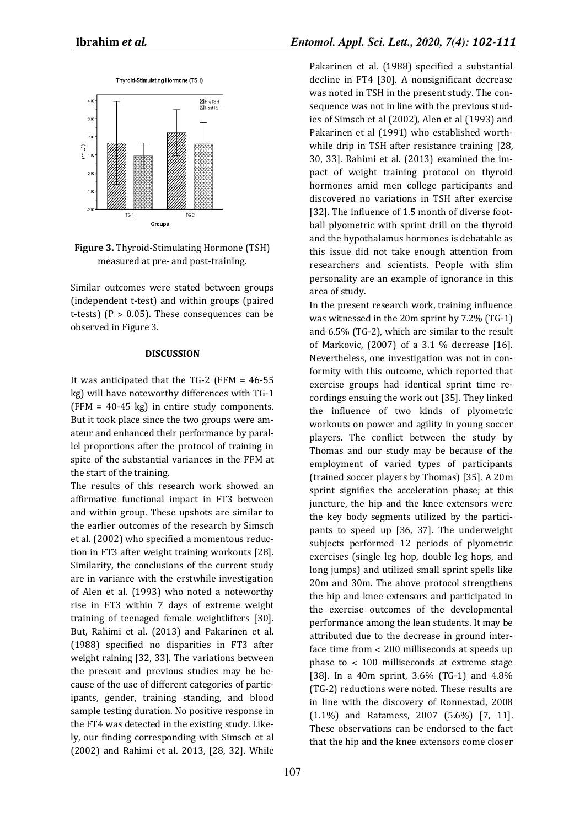

**Figure 3.** Thyroid-Stimulating Hormone (TSH) measured at pre- and post-training.

Similar outcomes were stated between groups (independent t-test) and within groups (paired t-tests) ( $P > 0.05$ ). These consequences can be observed in Figure 3.

#### **DISCUSSION**

It was anticipated that the TG-2 (FFM = 46-55 kg) will have noteworthy differences with TG-1 (FFM = 40-45 kg) in entire study components. But it took place since the two groups were amateur and enhanced their performance by parallel proportions after the protocol of training in spite of the substantial variances in the FFM at the start of the training.

The results of this research work showed an affirmative functional impact in FT3 between and within group. These upshots are similar to the earlier outcomes of the research by Simsch et al. (2002) who specified a momentous reduction in FT3 after weight training workouts [28]. Similarity, the conclusions of the current study are in variance with the erstwhile investigation of Alen et al. (1993) who noted a noteworthy rise in FT3 within 7 days of extreme weight training of teenaged female weightlifters [30]. But, Rahimi et al. (2013) and Pakarinen et al. (1988) specified no disparities in FT3 after weight raining [32, 33]. The variations between the present and previous studies may be because of the use of different categories of participants, gender, training standing, and blood sample testing duration. No positive response in the FT4 was detected in the existing study. Likely, our finding corresponding with Simsch et al (2002) and Rahimi et al. 2013, [28, 32]. While

Pakarinen et al. (1988) specified a substantial decline in FT4 [30]. A nonsignificant decrease was noted in TSH in the present study. The consequence was not in line with the previous studies of Simsch et al (2002), Alen et al (1993) and Pakarinen et al (1991) who established worthwhile drip in TSH after resistance training [28, 30, 33]. Rahimi et al. (2013) examined the impact of weight training protocol on thyroid hormones amid men college participants and discovered no variations in TSH after exercise [32]. The influence of 1.5 month of diverse football plyometric with sprint drill on the thyroid and the hypothalamus hormones is debatable as this issue did not take enough attention from researchers and scientists. People with slim personality are an example of ignorance in this area of study.

In the present research work, training influence was witnessed in the 20m sprint by 7.2% (TG-1) and 6.5% (TG-2), which are similar to the result of Markovic, (2007) of a 3.1 % decrease [16]. Nevertheless, one investigation was not in conformity with this outcome, which reported that exercise groups had identical sprint time recordings ensuing the work out [35]. They linked the influence of two kinds of plyometric workouts on power and agility in young soccer players. The conflict between the study by Thomas and our study may be because of the employment of varied types of participants (trained soccer players by Thomas) [35]. A 20m sprint signifies the acceleration phase; at this juncture, the hip and the knee extensors were the key body segments utilized by the participants to speed up [36, 37]. The underweight subjects performed 12 periods of plyometric exercises (single leg hop, double leg hops, and long jumps) and utilized small sprint spells like 20m and 30m. The above protocol strengthens the hip and knee extensors and participated in the exercise outcomes of the developmental performance among the lean students. It may be attributed due to the decrease in ground interface time from ˂ 200 milliseconds at speeds up phase to  $<$  100 milliseconds at extreme stage [38]. In a 40m sprint, 3.6% (TG-1) and 4.8% (TG-2) reductions were noted. These results are in line with the discovery of Ronnestad, 2008 (1.1%) and Ratamess, 2007 (5.6%) [7, 11]. These observations can be endorsed to the fact that the hip and the knee extensors come closer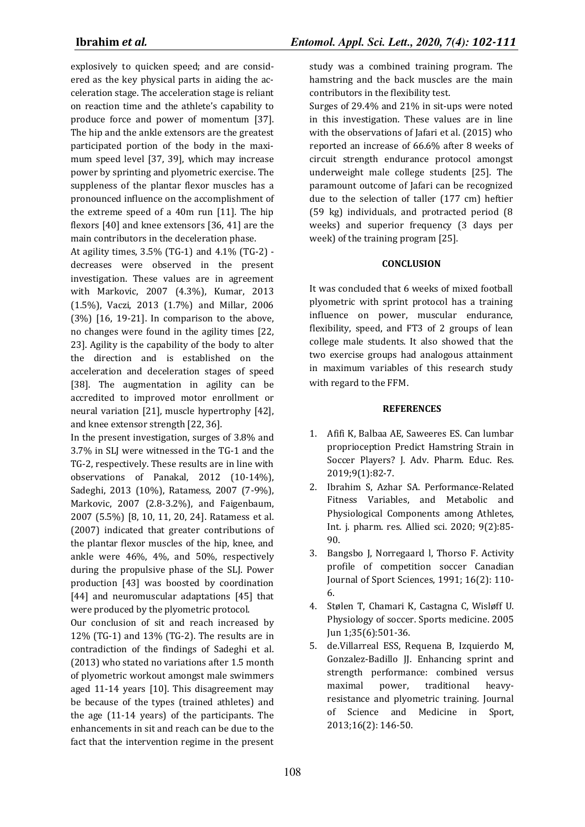explosively to quicken speed; and are considered as the key physical parts in aiding the acceleration stage. The acceleration stage is reliant on reaction time and the athlete's capability to produce force and power of momentum [37]. The hip and the ankle extensors are the greatest participated portion of the body in the maximum speed level [37, 39], which may increase power by sprinting and plyometric exercise. The suppleness of the plantar flexor muscles has a pronounced influence on the accomplishment of the extreme speed of a 40m run [11]. The hip flexors [40] and knee extensors [36, 41] are the main contributors in the deceleration phase.

At agility times, 3.5% (TG-1) and 4.1% (TG-2) decreases were observed in the present investigation. These values are in agreement with Markovic, 2007 (4.3%), Kumar, 2013 (1.5%), Vaczi, 2013 (1.7%) and Millar, 2006 (3%) [16, 19-21]. In comparison to the above, no changes were found in the agility times [22, 23]. Agility is the capability of the body to alter the direction and is established on the acceleration and deceleration stages of speed [38]. The augmentation in agility can be accredited to improved motor enrollment or neural variation [21], muscle hypertrophy [42], and knee extensor strength [22, 36].

In the present investigation, surges of 3.8% and 3.7% in SLJ were witnessed in the TG-1 and the TG-2, respectively. These results are in line with observations of Panakal, 2012 (10-14%), Sadeghi, 2013 (10%), Ratamess, 2007 (7-9%), Markovic, 2007 (2.8-3.2%), and Faigenbaum, 2007 (5.5%) [8, 10, 11, 20, 24]. Ratamess et al. (2007) indicated that greater contributions of the plantar flexor muscles of the hip, knee, and ankle were 46%, 4%, and 50%, respectively during the propulsive phase of the SLJ. Power production [43] was boosted by coordination [44] and neuromuscular adaptations [45] that were produced by the plyometric protocol.

Our conclusion of sit and reach increased by 12% (TG-1) and 13% (TG-2). The results are in contradiction of the findings of Sadeghi et al. (2013) who stated no variations after 1.5 month of plyometric workout amongst male swimmers aged 11-14 years [10]. This disagreement may be because of the types (trained athletes) and the age (11-14 years) of the participants. The enhancements in sit and reach can be due to the fact that the intervention regime in the present

study was a combined training program. The hamstring and the back muscles are the main contributors in the flexibility test.

Surges of 29.4% and 21% in sit-ups were noted in this investigation. These values are in line with the observations of Jafari et al. (2015) who reported an increase of 66.6% after 8 weeks of circuit strength endurance protocol amongst underweight male college students [25]. The paramount outcome of Jafari can be recognized due to the selection of taller (177 cm) heftier (59 kg) individuals, and protracted period (8 weeks) and superior frequency (3 days per week) of the training program [25].

# **CONCLUSION**

It was concluded that 6 weeks of mixed football plyometric with sprint protocol has a training influence on power, muscular endurance, flexibility, speed, and FT3 of 2 groups of lean college male students. It also showed that the two exercise groups had analogous attainment in maximum variables of this research study with regard to the FFM.

### **REFERENCES**

- 1. Afifi K, Balbaa AE, Saweeres ES. Can lumbar proprioception Predict Hamstring Strain in Soccer Players? J. Adv. Pharm. Educ. Res. 2019;9(1):82-7.
- 2. Ibrahim S, Azhar SA. Performance-Related Fitness Variables, and Metabolic and Physiological Components among Athletes, Int. j. pharm. res. Allied sci. 2020; 9(2):85- 90.
- 3. Bangsbo J, Norregaard l, Thorso F. Activity profile of competition soccer Canadian Journal of Sport Sciences, 1991; 16(2): 110- 6.
- 4. Stølen T, Chamari K, Castagna C, Wisløff U. Physiology of soccer. Sports medicine. 2005 Jun 1;35(6):501-36.
- 5. de.Villarreal ESS, Requena B, Izquierdo M, Gonzalez-Badillo JJ. Enhancing sprint and strength performance: combined versus maximal power, traditional heavyresistance and plyometric training. Journal of Science and Medicine in Sport, 2013;16(2): 146-50.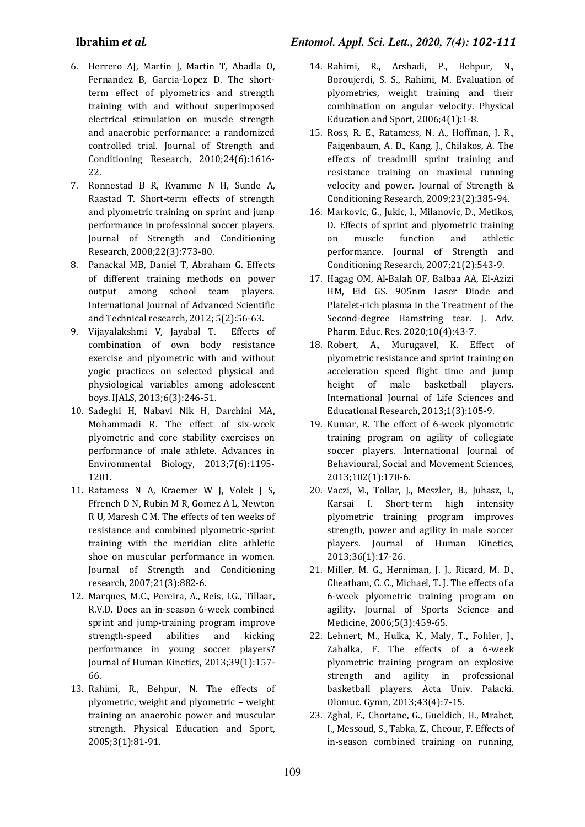- 6. Herrero AJ, Martin J, Martin T, Abadla O, Fernandez B, Garcia-Lopez D. The shortterm effect of plyometrics and strength training with and without superimposed electrical stimulation on muscle strength and anaerobic performance: a randomized controlled trial. Journal of Strength and Conditioning Research, 2010;24(6):1616- 22.
- 7. Ronnestad B R, Kvamme N H, Sunde A, Raastad T. Short-term effects of strength and plyometric training on sprint and jump performance in professional soccer players. Journal of Strength and Conditioning Research, 2008;22(3):773-80.
- 8. Panackal MB, Daniel T, Abraham G. Effects of different training methods on power output among school team players. International Journal of Advanced Scientific and Technical research, 2012; 5(2):56-63.
- 9. Vijayalakshmi V, Jayabal T. Effects of combination of own body resistance exercise and plyometric with and without yogic practices on selected physical and physiological variables among adolescent boys. IJALS, 2013;6(3):246-51.
- 10. Sadeghi H, Nabavi Nik H, Darchini MA, Mohammadi R. The effect of six-week plyometric and core stability exercises on performance of male athlete. Advances in Environmental Biology, 2013;7(6):1195- 1201.
- 11. Ratamess N A, Kraemer W J, Volek J S, Ffrench D N, Rubin M R, Gomez A L, Newton R U, Maresh C M. The effects of ten weeks of resistance and combined plyometric-sprint training with the meridian elite athletic shoe on muscular performance in women. Journal of Strength and Conditioning research, 2007;21(3):882-6.
- 12. Marques, M.C., Pereira, A., Reis, I.G., Tillaar, R.V.D. Does an in-season 6-week combined sprint and jump-training program improve strength-speed abilities and kicking performance in young soccer players? Journal of Human Kinetics, 2013;39(1):157- 66.
- 13. Rahimi, R., Behpur, N. The effects of plyometric, weight and plyometric – weight training on anaerobic power and muscular strength. Physical Education and Sport, 2005;3(1):81-91.
- 14. Rahimi, R., Arshadi, P., Behpur, N., Boroujerdi, S. S., Rahimi, M. Evaluation of plyometrics, weight training and their combination on angular velocity. Physical Education and Sport, 2006;4(1):1-8.
- 15. Ross, R. E., Ratamess, N. A., Hoffman, J. R., Faigenbaum, A. D., Kang, J., Chilakos, A. The effects of treadmill sprint training and resistance training on maximal running velocity and power. Journal of Strength & Conditioning Research, 2009;23(2):385-94.
- 16. Markovic, G., Jukic, I., Milanovic, D., Metikos, D. Effects of sprint and plyometric training on muscle function and athletic performance. Journal of Strength and Conditioning Research, 2007;21(2):543-9.
- 17. Hagag OM, Al-Balah OF, Balbaa AA, El-Azizi HM, Eid GS. 905nm Laser Diode and Platelet-rich plasma in the Treatment of the Second-degree Hamstring tear. J. Adv. Pharm. Educ. Res. 2020;10(4):43-7.
- 18. Robert, A., Murugavel, K. Effect of plyometric resistance and sprint training on acceleration speed flight time and jump height of male basketball players. International Journal of Life Sciences and Educational Research, 2013;1(3):105-9.
- 19. Kumar, R. The effect of 6-week plyometric training program on agility of collegiate soccer players. International Journal of Behavioural, Social and Movement Sciences, 2013;102(1):170-6.
- 20. Vaczi, M., Tollar, J., Meszler, B., Juhasz, I., Karsai I. Short-term high intensity plyometric training program improves strength, power and agility in male soccer players. Journal of Human Kinetics, 2013;36(1):17-26.
- 21. Miller, M. G., Herniman, J. J., Ricard, M. D., Cheatham, C. C., Michael, T. J. The effects of a 6-week plyometric training program on agility. Journal of Sports Science and Medicine, 2006;5(3):459-65.
- 22. Lehnert, M., Hulka, K., Maly, T., Fohler, J., Zahalka, F. The effects of a 6-week plyometric training program on explosive strength and agility in professional basketball players. Acta Univ. Palacki. Olomuc. Gymn, 2013;43(4):7-15.
- 23. Zghal, F., Chortane, G., Gueldich, H., Mrabet, I., Messoud, S., Tabka, Z., Cheour, F. Effects of in-season combined training on running,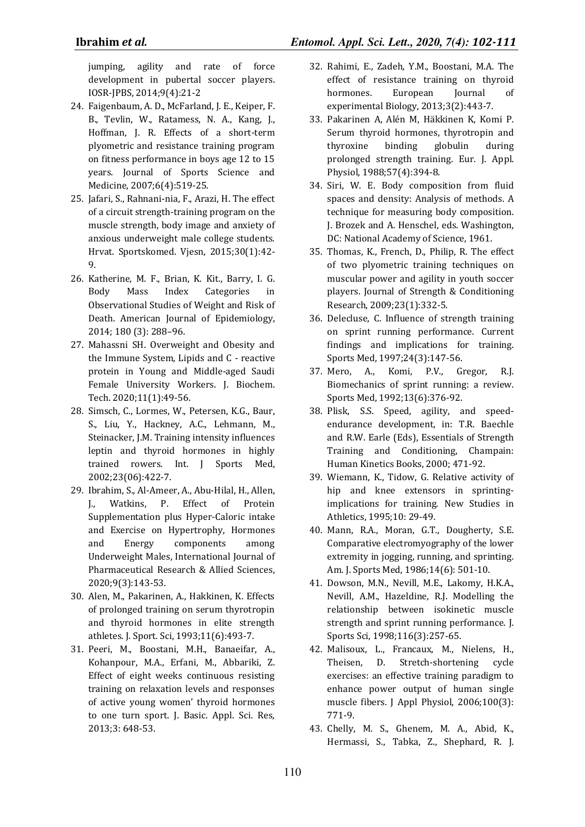jumping, agility and rate of force development in pubertal soccer players. IOSR-JPBS, 2014;9(4):21-2

- 24. Faigenbaum, A. D., McFarland, J. E., Keiper, F. B., Tevlin, W., Ratamess, N. A., Kang, J., Hoffman, J. R. Effects of a short-term plyometric and resistance training program on fitness performance in boys age 12 to 15 years. Journal of Sports Science and Medicine, 2007;6(4):519-25.
- 25. Jafari, S., Rahnani-nia, F., Arazi, H. The effect of a circuit strength-training program on the muscle strength, body image and anxiety of anxious underweight male college students. Hrvat. Sportskomed. Vjesn, 2015;30(1):42- 9.
- 26. Katherine, M. F., Brian, K. Kit., Barry, I. G. Body Mass Index Categories in Observational Studies of Weight and Risk of Death. American Journal of Epidemiology, 2014; 180 (3): 288–96.
- 27. Mahassni SH. Overweight and Obesity and the Immune System, Lipids and C - reactive protein in Young and Middle-aged Saudi Female University Workers. J. Biochem. Tech. 2020;11(1):49-56.
- 28. Simsch, C., Lormes, W., Petersen, K.G., Baur, S., Liu, Y., Hackney, A.C., Lehmann, M., Steinacker, J.M. Training intensity influences leptin and thyroid hormones in highly trained rowers. Int. J Sports Med, 2002;23(06):422-7.
- 29. Ibrahim, S., Al-Ameer, A., Abu-Hilal, H., Allen, J., Watkins, P. Effect of Protein Supplementation plus Hyper-Caloric intake and Exercise on Hypertrophy, Hormones and Energy components among Underweight Males, International Journal of Pharmaceutical Research & Allied Sciences, 2020;9(3):143-53.
- 30. Alen, M., Pakarinen, A., Hakkinen, K. Effects of prolonged training on serum thyrotropin and thyroid hormones in elite strength athletes. J. Sport. Sci, 1993;11(6):493-7.
- 31. Peeri, M., Boostani, M.H., Banaeifar, A., Kohanpour, M.A., Erfani, M., Abbariki, Z. Effect of eight weeks continuous resisting training on relaxation levels and responses of active young women' thyroid hormones to one turn sport. J. Basic. Appl. Sci. Res, 2013;3: 648-53.
- 32. Rahimi, E., Zadeh, Y.M., Boostani, M.A. The effect of resistance training on thyroid hormones. European Journal of experimental Biology, 2013;3(2):443-7.
- 33. Pakarinen A, Alén M, Häkkinen K, Komi P. Serum thyroid hormones, thyrotropin and thyroxine binding globulin during prolonged strength training. Eur. J. Appl. Physiol, 1988;57(4):394-8.
- 34. Siri, W. E. Body composition from fluid spaces and density: Analysis of methods. A technique for measuring body composition. J. Brozek and A. Henschel, eds. Washington, DC: National Academy of Science, 1961.
- 35. Thomas, K., French, D., Philip, R. The effect of two plyometric training techniques on muscular power and agility in youth soccer players. Journal of Strength & Conditioning Research, 2009;23(1):332-5.
- 36. Delecluse, C. Influence of strength training on sprint running performance. Current findings and implications for training. Sports Med, 1997;24(3):147-56.
- 37. Mero, A., Komi, P.V., Gregor, R.J. Biomechanics of sprint running: a review. Sports Med, 1992;13(6):376-92.
- 38. Plisk, S.S. Speed, agility, and speedendurance development, in: T.R. Baechle and R.W. Earle (Eds), Essentials of Strength Training and Conditioning, Champain: Human Kinetics Books, 2000; 471-92.
- 39. Wiemann, K., Tidow, G. Relative activity of hip and knee extensors in sprintingimplications for training. New Studies in Athletics, 1995;10: 29-49.
- 40. Mann, R.A., Moran, G.T., Dougherty, S.E. Comparative electromyography of the lower extremity in jogging, running, and sprinting. Am. J. Sports Med, 1986;14(6): 501-10.
- 41. Dowson, M.N., Nevill, M.E., Lakomy, H.K.A., Nevill, A.M., Hazeldine, R.J. Modelling the relationship between isokinetic muscle strength and sprint running performance. J. Sports Sci, 1998;116(3):257-65.
- 42. Malisoux, L., Francaux, M., Nielens, H., Theisen, D. Stretch-shortening cycle exercises: an effective training paradigm to enhance power output of human single muscle fibers. J Appl Physiol, 2006;100(3): 771-9.
- 43. Chelly, M. S., Ghenem, M. A., Abid, K., Hermassi, S., Tabka, Z., Shephard, R. J.